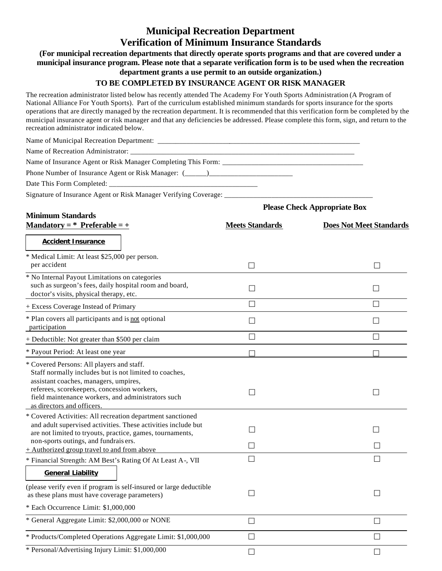## **Municipal Recreation Department Verification of Minimum Insurance Standards**

## **(For municipal recreation departments that directly operate sports programs and that are covered under a municipal insurance program. Please note that a separate verification form is to be used when the recreation department grants a use permit to an outside organization.)**

## **TO BE COMPLETED BY INSURANCE AGENT OR RISK MANAGER**

The recreation administrator listed below has recently attended The Academy For Youth Sports Administration (A Program of National Alliance For Youth Sports). Part of the curriculum established minimum standards for sports insurance for the sports operations that are directly managed by the recreation department. It is recommended that this verification form be completed by the municipal insurance agent or risk manager and that any deficiencies be addressed. Please complete this form, sign, and return to the recreation administrator indicated below.

| Phone Number of Insurance Agent or Risk Manager: (_____)_________________________                                                                                                                                                                                               |                                     |                                |
|---------------------------------------------------------------------------------------------------------------------------------------------------------------------------------------------------------------------------------------------------------------------------------|-------------------------------------|--------------------------------|
|                                                                                                                                                                                                                                                                                 |                                     |                                |
| Signature of Insurance Agent or Risk Manager Verifying Coverage: ________________                                                                                                                                                                                               |                                     |                                |
|                                                                                                                                                                                                                                                                                 | <b>Please Check Appropriate Box</b> |                                |
| <b>Minimum Standards</b><br><u>Mandatory = * Preferable = +</u>                                                                                                                                                                                                                 | <b>Meets Standards</b>              | <b>Does Not Meet Standards</b> |
| <b>Accident Insurance</b>                                                                                                                                                                                                                                                       |                                     |                                |
| * Medical Limit: At least \$25,000 per person.<br>per accident                                                                                                                                                                                                                  | $\perp$                             | $\perp$                        |
| * No Internal Payout Limitations on categories<br>such as surgeon's fees, daily hospital room and board,<br>doctor's visits, physical therapy, etc.                                                                                                                             | $\vert \ \ \vert$                   | $\vert \ \ \vert$              |
| + Excess Coverage Instead of Primary                                                                                                                                                                                                                                            | $\mathsf{L}$                        | $\mathsf{L}$                   |
| * Plan covers all participants and is not optional<br>participation                                                                                                                                                                                                             | П                                   | П                              |
| + Deductible: Not greater than \$500 per claim                                                                                                                                                                                                                                  | П                                   | $\Box$                         |
| * Payout Period: At least one year                                                                                                                                                                                                                                              | П                                   |                                |
| * Covered Persons: All players and staff.<br>Staff normally includes but is not limited to coaches,<br>assistant coaches, managers, umpires,<br>referees, scorekeepers, concession workers,<br>field maintenance workers, and administrators such<br>as directors and officers. | $\vert \ \ \vert$                   | П                              |
| * Covered Activities: All recreation department sanctioned<br>and adult supervised activities. These activities include but<br>are not limited to tryouts, practice, games, tournaments,<br>non-sports outings, and fundrais ers.                                               |                                     |                                |
| $+$ Authorized group travel to and from above                                                                                                                                                                                                                                   | $\mathsf{L}$                        |                                |
| * Financial Strength: AM Best's Rating Of At Least A-, VII<br><b>General Liability</b>                                                                                                                                                                                          |                                     |                                |
| (please verify even if program is self-insured or large deductible<br>as these plans must have coverage parameters)                                                                                                                                                             | $\Box$                              | $\perp$                        |
| * Each Occurrence Limit: \$1,000,000                                                                                                                                                                                                                                            |                                     |                                |
| * General Aggregate Limit: \$2,000,000 or NONE                                                                                                                                                                                                                                  | $\Box$                              | $\Box$                         |
| * Products/Completed Operations Aggregate Limit: \$1,000,000                                                                                                                                                                                                                    | $\Box$                              | $\perp$                        |
| * Personal/Advertising Injury Limit: \$1,000,000                                                                                                                                                                                                                                | $\Box$                              | П                              |